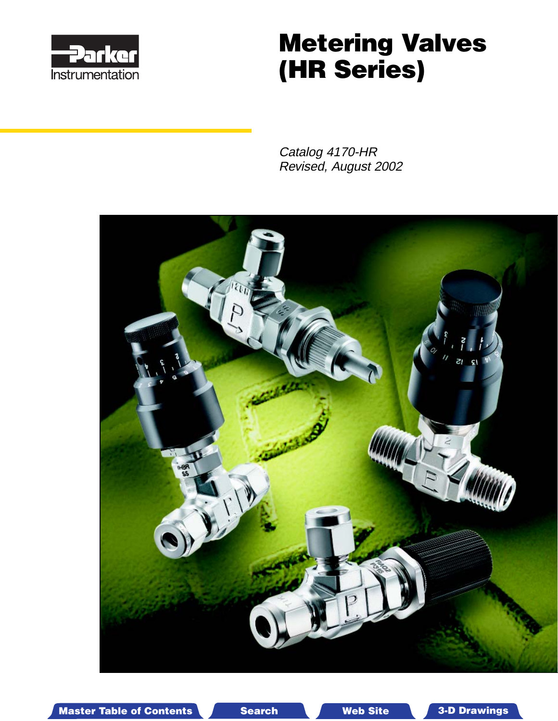

# **Metering Valves (HR Series)**

Catalog 4170-HR Revised, August 2002



Master Table of Contents **3. Dearch Master Table of Contents 3-D Drawings** Search Master Table of Contents 3-D Drawings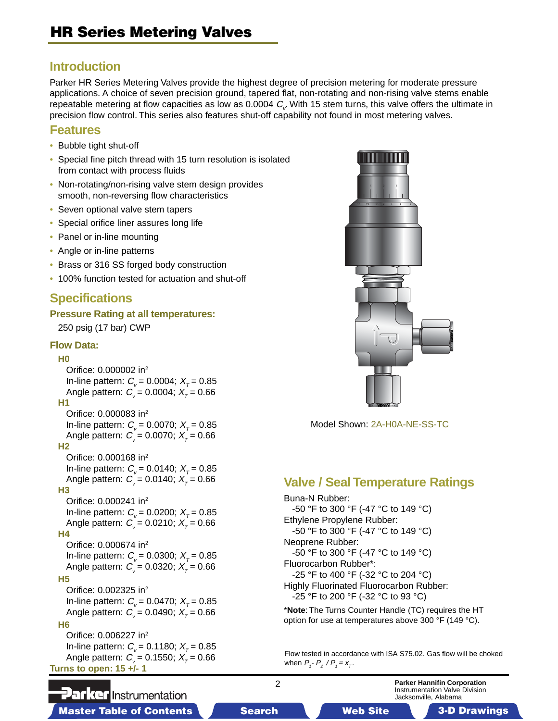### **Introduction**

Parker HR Series Metering Valves provide the highest degree of precision metering for moderate pressure applications. A choice of seven precision ground, tapered flat, non-rotating and non-rising valve stems enable repeatable metering at flow capacities as low as 0.0004  $C_{\!\scriptscriptstyle\vee}$ . With 15 stem turns, this valve offers the ultimate in precision flow control. This series also features shut-off capability not found in most metering valves.

#### **Features**

- Bubble tight shut-off
- Special fine pitch thread with 15 turn resolution is isolated from contact with process fluids
- Non-rotating/non-rising valve stem design provides smooth, non-reversing flow characteristics
- Seven optional valve stem tapers
- Special orifice liner assures long life
- Panel or in-line mounting
- Angle or in-line patterns
- Brass or 316 SS forged body construction
- 100% function tested for actuation and shut-off

### **Specifications**

#### **Pressure Rating at all temperatures:**

250 psig (17 bar) CWP

#### **Flow Data:**

#### **H0**

Orifice: 0.000002 in2 In-line pattern:  $C_v = 0.0004$ ;  $X_\tau = 0.85$ Angle pattern:  $C_v = 0.0004$ ;  $X_T = 0.66$ **H1** Orifice: 0.000083 in2 In-line pattern:  $C_v = 0.0070$ ;  $X_T = 0.85$ Angle pattern:  $C_v = 0.0070$ ;  $X_\tau = 0.66$ **H2** Orifice: 0.000168 in2 In-line pattern:  $C_v = 0.0140$ ;  $X_T = 0.85$ Angle pattern:  $C_v = 0.0140$ ;  $X_T = 0.66$ **H3**

Orifice: 0.000241 in2

In-line pattern:  $C_v = 0.0200$ ;  $X_T = 0.85$ Angle pattern:  $C_v = 0.0210$ ;  $X_T = 0.66$ 

**H4** Orifice: 0.000674 in2 In-line pattern:  $C_v = 0.0300; X_T = 0.85$ Angle pattern:  $C_v = 0.0320$ ;  $X_\tau = 0.66$ 

#### **H5**

Orifice: 0.002325 in2 In-line pattern:  $C_v = 0.0470$ ;  $X_\tau = 0.85$ Angle pattern:  $C_v = 0.0490; X_T = 0.66$ 

#### **H6**

Orifice: 0.006227 in2 In-line pattern:  $C_v = 0.1180$ ;  $X_T = 0.85$ Angle pattern:  $C_v = 0.1550$ ;  $X_T = 0.66$ **Turns to open: 15 +/- 1**



Model Shown: 2A-H0A-NE-SS-TC

### **Valve / Seal Temperature Ratings**

Buna-N Rubber: -50 °F to 300 °F (-47 °C to 149 °C) Ethylene Propylene Rubber: -50 °F to 300 °F (-47 °C to 149 °C) Neoprene Rubber: -50 °F to 300 °F (-47 °C to 149 °C) Fluorocarbon Rubber\*: -25 °F to 400 °F (-32 °C to 204 °C) Highly Fluorinated Fluorocarbon Rubber: -25 °F to 200 °F (-32 °C to 93 °C)

\***Note**: The Turns Counter Handle (TC) requires the HT option for use at temperatures above 300 °F (149 °C).

Flow tested in accordance with ISA S75.02. Gas flow will be choked when  $P_1 - P_2 / P_1 = x_7$ .

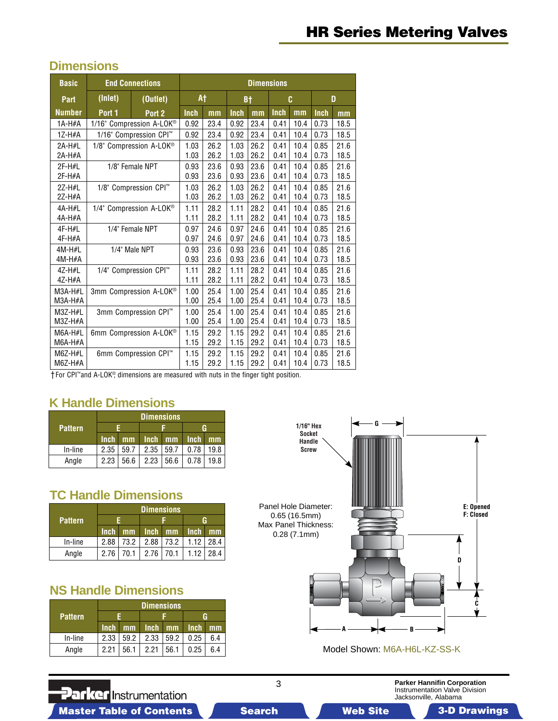### **Dimensions**

| <b>Basic</b>  | <b>End Connections</b>              |                          | <b>Dimensions</b> |      |             |      |             |      |      |      |
|---------------|-------------------------------------|--------------------------|-------------------|------|-------------|------|-------------|------|------|------|
| Part          | (Inlet)<br>(Outlet)                 |                          |                   | A†   | B†          |      | C           |      | D    |      |
| <b>Number</b> | Port 1                              | Port 2                   | <b>Inch</b>       | mm   | <b>Inch</b> | mm   | <b>Inch</b> | mm   | Inch | mm   |
| $1A-H#A$      |                                     | 1/16" Compression A-LOK® | 0.92              | 23.4 | 0.92        | 23.4 | 0.41        | 10.4 | 0.73 | 18.5 |
| $1Z-H#A$      |                                     | 1/16" Compression CPI™   | 0.92              | 23.4 | 0.92        | 23.4 | 0.41        | 10.4 | 0.73 | 18.5 |
| 2A-H#L        |                                     | 1/8" Compression A-LOK®  | 1.03              | 26.2 | 1.03        | 26.2 | 0.41        | 10.4 | 0.85 | 21.6 |
| 2A-H#A        |                                     |                          | 1.03              | 26.2 | 1.03        | 26.2 | 0.41        | 10.4 | 0.73 | 18.5 |
| $2F-H#L$      |                                     | 1/8" Female NPT          | 0.93              | 23.6 | 0.93        | 23.6 | 0.41        | 10.4 | 0.85 | 21.6 |
| $2F-H#A$      |                                     |                          | 0.93              | 23.6 | 0.93        | 23.6 | 0.41        | 10.4 | 0.73 | 18.5 |
| 2Z-H#L        |                                     | 1/8" Compression CPI™    | 1.03              | 26.2 | 1.03        | 26.2 | 0.41        | 10.4 | 0.85 | 21.6 |
| 2Z-H#A        |                                     |                          | 1.03              | 26.2 | 1.03        | 26.2 | 0.41        | 10.4 | 0.73 | 18.5 |
| 4A-H#L        | 1/4" Compression A-LOK <sup>®</sup> |                          | 1.11              | 28.2 | 1.11        | 28.2 | 0.41        | 10.4 | 0.85 | 21.6 |
| 4A-H#A        |                                     |                          | 1.11              | 28.2 | 1.11        | 28.2 | 0.41        | 10.4 | 0.73 | 18.5 |
| 4F-H#L        | 1/4" Female NPT                     |                          | 0.97              | 24.6 | 0.97        | 24.6 | 0.41        | 10.4 | 0.85 | 21.6 |
| $4F-H#A$      |                                     |                          | 0.97              | 24.6 | 0.97        | 24.6 | 0.41        | 10.4 | 0.73 | 18.5 |
| $4M-H#L$      | 1/4" Male NPT                       |                          | 0.93              | 23.6 | 0.93        | 23.6 | 0.41        | 10.4 | 0.85 | 21.6 |
| $4M-H#A$      |                                     |                          | 0.93              | 23.6 | 0.93        | 23.6 | 0.41        | 10.4 | 0.73 | 18.5 |
| 4Z-H#L        | 1/4" Compression CPI™               |                          | 1.11              | 28.2 | 1.11        | 28.2 | 0.41        | 10.4 | 0.85 | 21.6 |
| 4Z-H#A        |                                     |                          | 1.11              | 28.2 | 1.11        | 28.2 | 0.41        | 10.4 | 0.73 | 18.5 |
| $M3A-H#L$     | 3mm Compression A-LOK®              |                          | 1.00              | 25.4 | 1.00        | 25.4 | 0.41        | 10.4 | 0.85 | 21.6 |
| $M3A-H#A$     |                                     |                          | 1.00              | 25.4 | 1.00        | 25.4 | 0.41        | 10.4 | 0.73 | 18.5 |
| $M3Z-H#L$     | 3mm Compression CPI™                |                          | 1.00              | 25.4 | 1.00        | 25.4 | 0.41        | 10.4 | 0.85 | 21.6 |
| $M3Z-H#A$     |                                     |                          | 1.00              | 25.4 | 1.00        | 25.4 | 0.41        | 10.4 | 0.73 | 18.5 |
| $M6A-H#L$     | 6mm Compression A-LOK®              |                          | 1.15              | 29.2 | 1.15        | 29.2 | 0.41        | 10.4 | 0.85 | 21.6 |
| $M6A-H#A$     |                                     |                          | 1.15              | 29.2 | 1.15        | 29.2 | 0.41        | 10.4 | 0.73 | 18.5 |
| $M6Z-H#L$     |                                     | 6mm Compression CPI™     | 1.15              | 29.2 | 1.15        | 29.2 | 0.41        | 10.4 | 0.85 | 21.6 |
| M6Z-H#A       |                                     |                          | 1.15              | 29.2 | 1.15        | 29.2 | 0.41        | 10.4 | 0.73 | 18.5 |

† For CPI™ and A-LOK®, dimensions are measured with nuts in the finger tight position.

### **K Handle Dimensions**

|                | Dimensions  |      |      |      |      |      |  |  |
|----------------|-------------|------|------|------|------|------|--|--|
| <b>Pattern</b> |             |      |      |      |      |      |  |  |
|                | <b>Inch</b> | mm   | Inch | mm   | Inch | mm   |  |  |
| In-line        | 2.35        | 59.7 | 2.35 | 59.7 | 0.78 | 19.8 |  |  |
| Angle          | 2.23        | 56.6 | 2.23 | 56.6 | 0.78 | 19.8 |  |  |

### **TC Handle Dimensions**

|         | <b>Dimensions</b> |      |             |      |             |      |  |
|---------|-------------------|------|-------------|------|-------------|------|--|
| Pattern |                   |      |             |      |             |      |  |
|         | <b>Inch</b>       | mm   | <b>Inch</b> | mm   | <b>Inch</b> | mm   |  |
| In-line | 2.88              | 73.2 | 2.88        | 73.2 | 1.12        | 28.4 |  |
| Angle   | 2.76              | 70.1 | 2.76        | 70.1 | 1.12        | 28.4 |  |

### **NS Handle Dimensions**

|                | <b>Dimensions</b> |      |             |      |      |     |  |
|----------------|-------------------|------|-------------|------|------|-----|--|
| <b>Pattern</b> |                   |      |             |      |      |     |  |
|                | <b>Inch</b>       | mm   | <b>Inch</b> | mm   | Inch | mm  |  |
| In-line        | 2.33              | 59.2 | 2.33        | 59.2 | 0.25 | 6.4 |  |
| Angle          | 2.21              | 56.1 | 2.21        | 56.1 | 0.25 | 6.4 |  |



Model Shown: M6A-H6L-KZ-SS-K

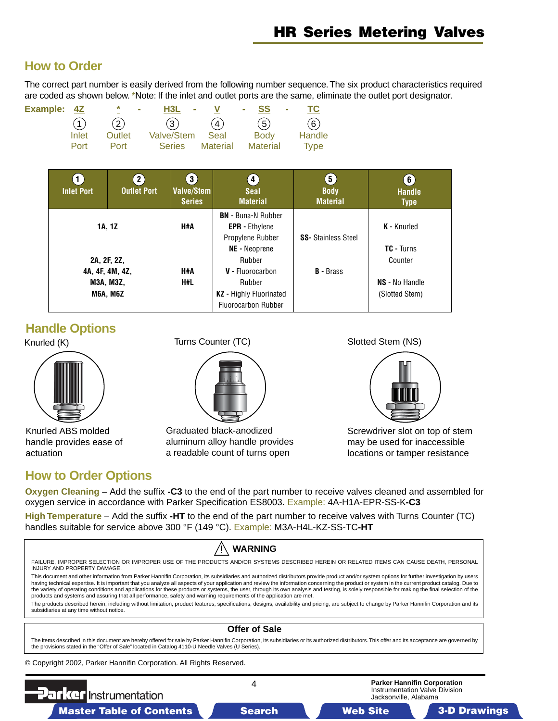### <span id="page-3-0"></span>**How to Order**

The correct part number is easily derived from the following number sequence. The six product characteristics required are coded as shown below.\*Note: If the inlet and outlet ports are the same, eliminate the outlet port designator.

| Example: 4Z | ×<br>$\sim$ |  | - SS -                            | TC.                                                              |
|-------------|-------------|--|-----------------------------------|------------------------------------------------------------------|
| (1)         | (2)         |  | (5)                               | (6)                                                              |
| Inlet       | Outlet      |  | <b>Body</b>                       | Handle                                                           |
| Port        | Port        |  |                                   | Type                                                             |
|             |             |  | $H3L -$<br>(3)<br>Valve/Stem Seal | $\mathbf{V}$ and $\mathbf{V}$<br>(4)<br>Series Material Material |

| <b>Inlet Port</b> | 2)<br><b>Outlet Port</b>                        | $\left 3\right\rangle$<br>Valve/Stem<br><b>Series</b> | $\boldsymbol{4}$<br><b>Seal</b><br><b>Material</b>                                                             | $\left(5\right)$<br><b>Body</b><br><b>Material</b> | 6 <sup>1</sup><br><b>Handle</b><br><b>Type</b>                   |  |
|-------------------|-------------------------------------------------|-------------------------------------------------------|----------------------------------------------------------------------------------------------------------------|----------------------------------------------------|------------------------------------------------------------------|--|
| 1A, 1Z            |                                                 | H#A                                                   | <b>BN</b> - Buna-N Rubber<br><b>EPR</b> - Ethylene<br>Propylene Rubber                                         | <b>SS-</b> Stainless Steel                         | K - Knurled                                                      |  |
| 2A, 2F, 2Z,       | 4A, 4F, 4M, 4Z,<br>M3A, M3Z,<br><b>M6A, M6Z</b> | H#A<br>H#L                                            | NE - Neoprene<br>Rubber<br>V - Fluorocarbon<br>Rubber<br>KZ - Highly Fluorinated<br><b>Fluorocarbon Rubber</b> | <b>B</b> - Brass                                   | <b>TC - Turns</b><br>Counter<br>NS - No Handle<br>(Slotted Stem) |  |

### **Handle Options**



Knurled ABS molded handle provides ease of actuation

### **How to Order Options**



Graduated black-anodized aluminum alloy handle provides a readable count of turns open

Knurled (K) Turns Counter (TC) Slotted Stem (NS)



Screwdriver slot on top of stem may be used for inaccessible locations or tamper resistance

**Oxygen Cleaning** – Add the suffix **-C3** to the end of the part number to receive valves cleaned and assembled for oxygen service in accordance with Parker Specification ES8003. Example: 4A-H1A-EPR-SS-K**-C3**

**High Temperature** – Add the suffix **-HT** to the end of the part number to receive valves with Turns Counter (TC) handles suitable for service above 300 °F (149 °C). Example: M3A-H4L-KZ-SS-TC**-HT**

| <b>WARNING</b>                                                                                                                                                                                                                                                                                                                                                                                                                                                                                                                                                                                                                                                                                                           |                                                                                                                                                                                                |                                                                                               |  |  |  |  |  |  |
|--------------------------------------------------------------------------------------------------------------------------------------------------------------------------------------------------------------------------------------------------------------------------------------------------------------------------------------------------------------------------------------------------------------------------------------------------------------------------------------------------------------------------------------------------------------------------------------------------------------------------------------------------------------------------------------------------------------------------|------------------------------------------------------------------------------------------------------------------------------------------------------------------------------------------------|-----------------------------------------------------------------------------------------------|--|--|--|--|--|--|
| FAILURE, IMPROPER SELECTION OR IMPROPER USE OF THE PRODUCTS AND/OR SYSTEMS DESCRIBED HEREIN OR RELATED ITEMS CAN CAUSE DEATH, PERSONAL<br>INJURY AND PROPERTY DAMAGE.                                                                                                                                                                                                                                                                                                                                                                                                                                                                                                                                                    |                                                                                                                                                                                                |                                                                                               |  |  |  |  |  |  |
| This document and other information from Parker Hannifin Corporation, its subsidiaries and authorized distributors provide product and/or system options for further investigation by users<br>having technical expertise. It is important that you analyze all aspects of your application and review the information concerning the product or system in the current product catalog. Due to<br>the variety of operating conditions and applications for these products or systems, the user, through its own analysis and testing, is solely responsible for making the final selection of the<br>products and systems and assuring that all performance, safety and warning requirements of the application are met. |                                                                                                                                                                                                |                                                                                               |  |  |  |  |  |  |
| subsidiaries at any time without notice.                                                                                                                                                                                                                                                                                                                                                                                                                                                                                                                                                                                                                                                                                 | The products described herein, including without limitation, product features, specifications, designs, availability and pricing, are subject to change by Parker Hannifin Corporation and its |                                                                                               |  |  |  |  |  |  |
| <b>Offer of Sale</b>                                                                                                                                                                                                                                                                                                                                                                                                                                                                                                                                                                                                                                                                                                     |                                                                                                                                                                                                |                                                                                               |  |  |  |  |  |  |
| The items described in this document are hereby offered for sale by Parker Hannifin Corporation, its subsidiaries or its authorized distributors. This offer and its acceptance are governed by<br>the provisions stated in the "Offer of Sale" located in Catalog 4110-U Needle Valves (U Series).                                                                                                                                                                                                                                                                                                                                                                                                                      |                                                                                                                                                                                                |                                                                                               |  |  |  |  |  |  |
| © Copyright 2002, Parker Hannifin Corporation. All Rights Reserved.                                                                                                                                                                                                                                                                                                                                                                                                                                                                                                                                                                                                                                                      |                                                                                                                                                                                                |                                                                                               |  |  |  |  |  |  |
| <b>Parker Instrumentation</b>                                                                                                                                                                                                                                                                                                                                                                                                                                                                                                                                                                                                                                                                                            |                                                                                                                                                                                                | <b>Parker Hannifin Corporation</b><br>Instrumentation Valve Division<br>Jacksonville, Alabama |  |  |  |  |  |  |

Master Table of Contents **Search Master Table of Contents 3-D Drawings** Search Master Table of Contents 3-D Drawings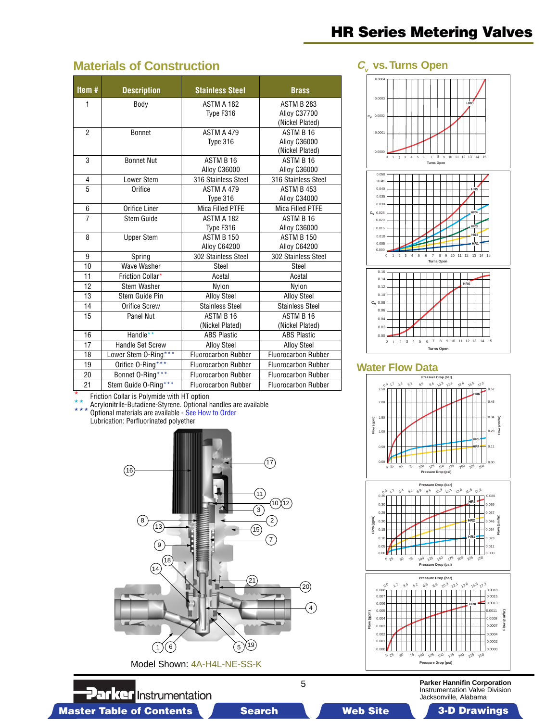## **Materials of Construction**

| Item#          | <b>Description</b>   | <b>Stainless Steel</b>     | <b>Brass</b>               |
|----------------|----------------------|----------------------------|----------------------------|
| 1              | Body                 | ASTM A 182                 | <b>ASTM B 283</b>          |
|                |                      | Type F316                  | Alloy C37700               |
|                |                      |                            | (Nickel Plated)            |
| $\overline{2}$ | <b>Bonnet</b>        | ASTM A 479                 | ASTM B 16                  |
|                |                      | Type 316                   | Alloy C36000               |
|                |                      |                            | (Nickel Plated)            |
| 3              | <b>Bonnet Nut</b>    | ASTM B 16                  | ASTM B 16                  |
|                |                      | Alloy C36000               | <b>Alloy C36000</b>        |
| 4              | Lower Stem           | 316 Stainless Steel        | 316 Stainless Steel        |
| 5              | Orifice              | <b>ASTM A 479</b>          | ASTM B 453                 |
|                |                      | Type 316                   | Alloy C34000               |
| 6              | Orifice Liner        | <b>Mica Filled PTFE</b>    | Mica Filled PTFE           |
| $\overline{7}$ | Stem Guide           | ASTM A 182                 | ASTM B 16                  |
|                |                      | Type F316                  | Alloy C36000               |
| 8              | <b>Upper Stem</b>    | <b>ASTM B 150</b>          | <b>ASTM B 150</b>          |
|                |                      | Alloy C64200               | Alloy C64200               |
| 9              | Spring               | 302 Stainless Steel        | 302 Stainless Steel        |
| 10             | Wave Washer          | Steel                      | Steel                      |
| 11             | Friction Collar*     | Acetal                     | Acetal                     |
| 12             | Stem Washer          | Nylon                      | Nylon                      |
| 13             | Stem Guide Pin       | <b>Alloy Steel</b>         | <b>Alloy Steel</b>         |
| 14             | Orifice Screw        | <b>Stainless Steel</b>     | <b>Stainless Steel</b>     |
| 15             | <b>Panel Nut</b>     | ASTM B 16                  | ASTM B 16                  |
|                |                      | (Nickel Plated)            | (Nickel Plated)            |
| 16             | Handle**             | <b>ABS Plastic</b>         | <b>ABS Plastic</b>         |
| 17             | Handle Set Screw     | <b>Alloy Steel</b>         | <b>Alloy Steel</b>         |
| 18             | Lower Stem 0-Ring*** | <b>Fluorocarbon Rubber</b> | <b>Fluorocarbon Rubber</b> |
| 19             | Orifice O-Ring***    | <b>Fluorocarbon Rubber</b> | <b>Fluorocarbon Rubber</b> |
| 20             | Bonnet O-Ring***     | <b>Fluorocarbon Rubber</b> | <b>Fluorocarbon Rubber</b> |
| 21             | Stem Guide O-Ring*** | <b>Fluorocarbon Rubber</b> | <b>Fluorocarbon Rubber</b> |

 $\star$  Friction Collar is Polymide with HT option

\*\* Acrylonitrile-Butadiene-Styr[ene. Optional handles are ava](#page-3-0)ilable

Optional materials are available - See How to Order

**Parker** Instrumentation

Lubrication: Perfluorinated polyether



# **HR Series Metering Valves**

#### C<sub>c</sub> vs. Turns Open



#### **Water Flow Data**



**Parker Hannifin Corporation** Instrumentation Valve Division Jacksonville, Alabama

5

Master Table of Contents **3. Dearch Master Table of Contents 3-D Drawings Search** Master Table of Contents 3-D Drawings